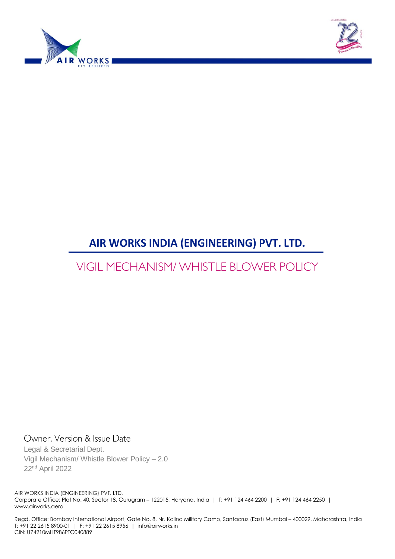



# **AIR WORKS INDIA (ENGINEERING) PVT. LTD.**

# **VIGIL MECHANISM/ WHISTLE BLOWER POLICY**

Owner, Version & Issue Date

Legal & Secretarial Dept. Vigil Mechanism/ Whistle Blower Policy – 2.0 22nd April 2022

AIR WORKS INDIA (ENGINEERING) PVT. LTD. Corporate Office: Plot No. 40, Sector 18, Gurugram – 122015, Haryana, India | T: +91 124 464 2200 | F: +91 124 464 2250 | www.airworks.aero

Regd. Office: Bombay International Airport, Gate No. 8, Nr. Kalina Military Camp, Santacruz (East) Mumbai – 400029, Maharashtra, India T: +91 22 2615 8900-01 | F: +91 22 2615 8956 | info@airworks.in CIN: U74210MHT986PTC040889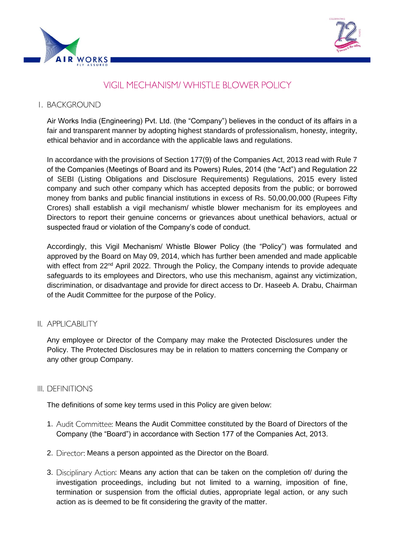



# **VIGIL MECHANISM/ WHISTLE BLOWER POLICY**

### I. BACKGROUND

Air Works India (Engineering) Pvt. Ltd. (the "Company") believes in the conduct of its affairs in a fair and transparent manner by adopting highest standards of professionalism, honesty, integrity, ethical behavior and in accordance with the applicable laws and regulations.

In accordance with the provisions of Section 177(9) of the Companies Act, 2013 read with Rule 7 of the Companies (Meetings of Board and its Powers) Rules, 2014 (the "Act") and Regulation 22 of SEBI (Listing Obligations and Disclosure Requirements) Regulations, 2015 every listed company and such other company which has accepted deposits from the public; or borrowed money from banks and public financial institutions in excess of Rs. 50,00,00,000 (Rupees Fifty Crores) shall establish a vigil mechanism/ whistle blower mechanism for its employees and Directors to report their genuine concerns or grievances about unethical behaviors, actual or suspected fraud or violation of the Company's code of conduct.

Accordingly, this Vigil Mechanism/ Whistle Blower Policy (the "Policy") was formulated and approved by the Board on May 09, 2014, which has further been amended and made applicable with effect from 22<sup>nd</sup> April 2022. Through the Policy, the Company intends to provide adequate safeguards to its employees and Directors, who use this mechanism, against any victimization, discrimination, or disadvantage and provide for direct access to Dr. Haseeb A. Drabu, Chairman of the Audit Committee for the purpose of the Policy.

II. APPLICABILITY

Any employee or Director of the Company may make the Protected Disclosures under the Policy. The Protected Disclosures may be in relation to matters concerning the Company or any other group Company.

### III. DEFINITIONS

The definitions of some key terms used in this Policy are given below:

- 1. Audit Committee: Means the Audit Committee constituted by the Board of Directors of the Company (the "Board") in accordance with Section 177 of the Companies Act, 2013.
- 2. Director: Means a person appointed as the Director on the Board.
- 3. Disciplinary Action: Means any action that can be taken on the completion of/ during the investigation proceedings, including but not limited to a warning, imposition of fine, termination or suspension from the official duties, appropriate legal action, or any such action as is deemed to be fit considering the gravity of the matter.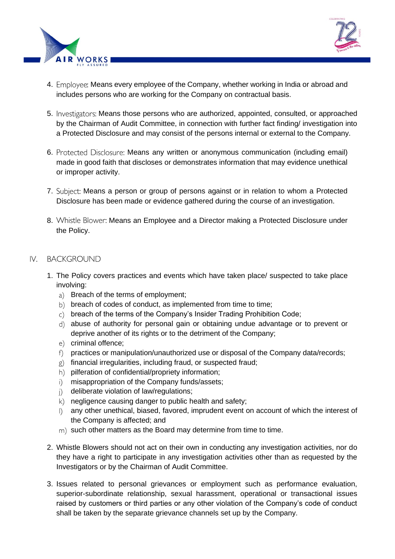



- 4. Employee: Means every employee of the Company, whether working in India or abroad and includes persons who are working for the Company on contractual basis.
- 5. Investigators: Means those persons who are authorized, appointed, consulted, or approached by the Chairman of Audit Committee, in connection with further fact finding/ investigation into a Protected Disclosure and may consist of the persons internal or external to the Company.
- 6. Protected Disclosure: Means any written or anonymous communication (including email) made in good faith that discloses or demonstrates information that may evidence unethical or improper activity.
- 7. Subject: Means a person or group of persons against or in relation to whom a Protected Disclosure has been made or evidence gathered during the course of an investigation.
- 8. Whistle Blower: Means an Employee and a Director making a Protected Disclosure under the Policy.

### IV. BACKGROUND

- 1. The Policy covers practices and events which have taken place/ suspected to take place involving:
	- a) Breach of the terms of employment:
	- b) breach of codes of conduct, as implemented from time to time;
	- $c)$  breach of the terms of the Company's Insider Trading Prohibition Code;
	- abuse of authority for personal gain or obtaining undue advantage or to prevent or deprive another of its rights or to the detriment of the Company;
	- e) criminal offence;
	- f) practices or manipulation/unauthorized use or disposal of the Company data/records;
	- $g$ ) financial irregularities, including fraud, or suspected fraud;
	- h) pilferation of confidential/propriety information;
	- i) misappropriation of the Company funds/assets;
	- j) deliberate violation of law/regulations;
	- $|k\rangle$  negligence causing danger to public health and safety;
	- any other unethical, biased, favored, imprudent event on account of which the interest of the Company is affected; and
	- m) such other matters as the Board may determine from time to time.
- 2. Whistle Blowers should not act on their own in conducting any investigation activities, nor do they have a right to participate in any investigation activities other than as requested by the Investigators or by the Chairman of Audit Committee.
- 3. Issues related to personal grievances or employment such as performance evaluation, superior-subordinate relationship, sexual harassment, operational or transactional issues raised by customers or third parties or any other violation of the Company's code of conduct shall be taken by the separate grievance channels set up by the Company.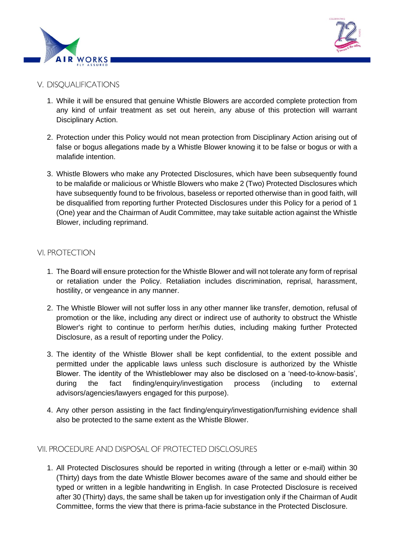



# V. DISOUALIFICATIONS

- 1. While it will be ensured that genuine Whistle Blowers are accorded complete protection from any kind of unfair treatment as set out herein, any abuse of this protection will warrant Disciplinary Action.
- 2. Protection under this Policy would not mean protection from Disciplinary Action arising out of false or bogus allegations made by a Whistle Blower knowing it to be false or bogus or with a malafide intention.
- 3. Whistle Blowers who make any Protected Disclosures, which have been subsequently found to be malafide or malicious or Whistle Blowers who make 2 (Two) Protected Disclosures which have subsequently found to be frivolous, baseless or reported otherwise than in good faith, will be disqualified from reporting further Protected Disclosures under this Policy for a period of 1 (One) year and the Chairman of Audit Committee, may take suitable action against the Whistle Blower, including reprimand.

# **VI. PROTECTION**

- 1. The Board will ensure protection for the Whistle Blower and will not tolerate any form of reprisal or retaliation under the Policy. Retaliation includes discrimination, reprisal, harassment, hostility, or vengeance in any manner.
- 2. The Whistle Blower will not suffer loss in any other manner like transfer, demotion, refusal of promotion or the like, including any direct or indirect use of authority to obstruct the Whistle Blower's right to continue to perform her/his duties, including making further Protected Disclosure, as a result of reporting under the Policy.
- 3. The identity of the Whistle Blower shall be kept confidential, to the extent possible and permitted under the applicable laws unless such disclosure is authorized by the Whistle Blower. The identity of the Whistleblower may also be disclosed on a 'need-to-know-basis', during the fact finding/enquiry/investigation process (including to external advisors/agencies/lawyers engaged for this purpose).
- 4. Any other person assisting in the fact finding/enquiry/investigation/furnishing evidence shall also be protected to the same extent as the Whistle Blower.

### VII. PROCEDURE AND DISPOSAL OF PROTECTED DISCLOSURES

1. All Protected Disclosures should be reported in writing (through a letter or e‐mail) within 30 (Thirty) days from the date Whistle Blower becomes aware of the same and should either be typed or written in a legible handwriting in English. In case Protected Disclosure is received after 30 (Thirty) days, the same shall be taken up for investigation only if the Chairman of Audit Committee, forms the view that there is prima-facie substance in the Protected Disclosure.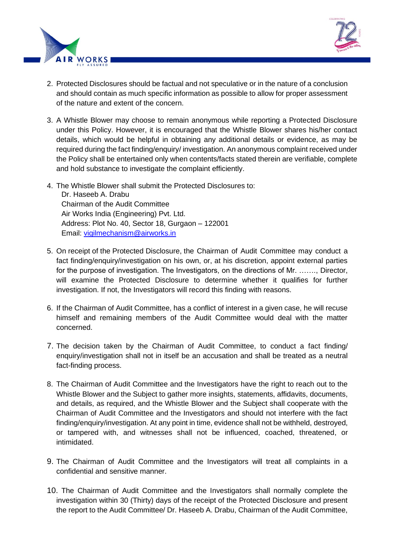



- 2. Protected Disclosures should be factual and not speculative or in the nature of a conclusion and should contain as much specific information as possible to allow for proper assessment of the nature and extent of the concern.
- 3. A Whistle Blower may choose to remain anonymous while reporting a Protected Disclosure under this Policy. However, it is encouraged that the Whistle Blower shares his/her contact details, which would be helpful in obtaining any additional details or evidence, as may be required during the fact finding/enquiry/ investigation. An anonymous complaint received under the Policy shall be entertained only when contents/facts stated therein are verifiable, complete and hold substance to investigate the complaint efficiently.
- 4. The Whistle Blower shall submit the Protected Disclosures to: Dr. Haseeb A. Drabu Chairman of the Audit Committee Air Works India (Engineering) Pvt. Ltd. Address: Plot No. 40, Sector 18, Gurgaon – 122001 Email: [vigilmechanism@airworks.in](mailto:vigilmechanism@airworks.in)
- 5. On receipt of the Protected Disclosure, the Chairman of Audit Committee may conduct a fact finding/enquiry/investigation on his own, or, at his discretion, appoint external parties for the purpose of investigation. The Investigators, on the directions of Mr. ……., Director, will examine the Protected Disclosure to determine whether it qualifies for further investigation. If not, the Investigators will record this finding with reasons.
- 6. If the Chairman of Audit Committee, has a conflict of interest in a given case, he will recuse himself and remaining members of the Audit Committee would deal with the matter concerned.
- 7. The decision taken by the Chairman of Audit Committee, to conduct a fact finding/ enquiry/investigation shall not in itself be an accusation and shall be treated as a neutral fact-finding process.
- 8. The Chairman of Audit Committee and the Investigators have the right to reach out to the Whistle Blower and the Subject to gather more insights, statements, affidavits, documents, and details, as required, and the Whistle Blower and the Subject shall cooperate with the Chairman of Audit Committee and the Investigators and should not interfere with the fact finding/enquiry/investigation. At any point in time, evidence shall not be withheld, destroyed, or tampered with, and witnesses shall not be influenced, coached, threatened, or intimidated.
- 9. The Chairman of Audit Committee and the Investigators will treat all complaints in a confidential and sensitive manner.
- 10. The Chairman of Audit Committee and the Investigators shall normally complete the investigation within 30 (Thirty) days of the receipt of the Protected Disclosure and present the report to the Audit Committee/ Dr. Haseeb A. Drabu, Chairman of the Audit Committee,